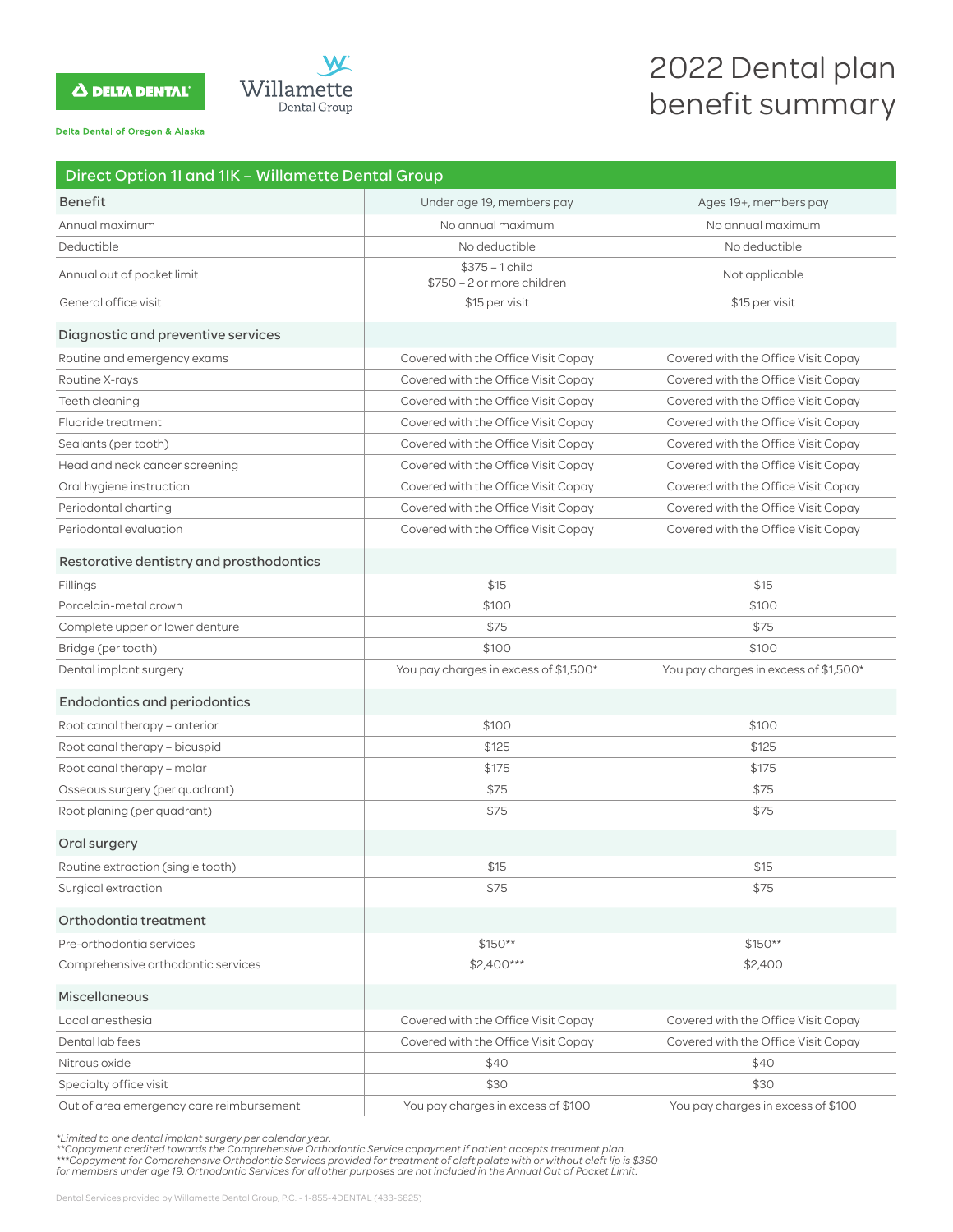# **A DELTA DENTAL**



Delta Dental of Oregon & Alaska

# 2022 Dental plan benefit summary

| Direct Option 1I and 1IK - Willamette Dental Group |                                                |                                       |
|----------------------------------------------------|------------------------------------------------|---------------------------------------|
| <b>Benefit</b>                                     | Under age 19, members pay                      | Ages 19+, members pay                 |
| Annual maximum                                     | No annual maximum                              | No annual maximum                     |
| Deductible                                         | No deductible                                  | No deductible                         |
| Annual out of pocket limit                         | $$375 - 1$ child<br>\$750 - 2 or more children | Not applicable                        |
| General office visit                               | \$15 per visit                                 | \$15 per visit                        |
| Diagnostic and preventive services                 |                                                |                                       |
| Routine and emergency exams                        | Covered with the Office Visit Copay            | Covered with the Office Visit Copay   |
| Routine X-rays                                     | Covered with the Office Visit Copay            | Covered with the Office Visit Copay   |
| Teeth cleaning                                     | Covered with the Office Visit Copay            | Covered with the Office Visit Copay   |
| Fluoride treatment                                 | Covered with the Office Visit Copay            | Covered with the Office Visit Copay   |
| Sealants (per tooth)                               | Covered with the Office Visit Copay            | Covered with the Office Visit Copay   |
| Head and neck cancer screening                     | Covered with the Office Visit Copay            | Covered with the Office Visit Copay   |
| Oral hygiene instruction                           | Covered with the Office Visit Copay            | Covered with the Office Visit Copay   |
| Periodontal charting                               | Covered with the Office Visit Copay            | Covered with the Office Visit Copay   |
| Periodontal evaluation                             | Covered with the Office Visit Copay            | Covered with the Office Visit Copay   |
| Restorative dentistry and prosthodontics           |                                                |                                       |
| Fillings                                           | \$15                                           | \$15                                  |
| Porcelain-metal crown                              | \$100                                          | \$100                                 |
| Complete upper or lower denture                    | \$75                                           | \$75                                  |
| Bridge (per tooth)                                 | \$100                                          | \$100                                 |
| Dental implant surgery                             | You pay charges in excess of \$1,500*          | You pay charges in excess of \$1,500* |
| <b>Endodontics and periodontics</b>                |                                                |                                       |
| Root canal therapy - anterior                      | \$100                                          | \$100                                 |
| Root canal therapy - bicuspid                      | \$125                                          | \$125                                 |
| Root canal therapy – molar                         | \$175                                          | \$175                                 |
| Osseous surgery (per quadrant)                     | \$75                                           | \$75                                  |
| Root planing (per quadrant)                        | \$75                                           | \$75                                  |
| Oral surgery                                       |                                                |                                       |
| Routine extraction (single tooth)                  | \$15                                           | \$15                                  |
| Surgical extraction                                | \$75                                           | \$75                                  |
| Orthodontia treatment                              |                                                |                                       |
| Pre-orthodontia services                           | $$150**$                                       | \$150**                               |
| Comprehensive orthodontic services                 | \$2,400***                                     | \$2,400                               |
| Miscellaneous                                      |                                                |                                       |
| Local anesthesia                                   | Covered with the Office Visit Copay            | Covered with the Office Visit Copay   |
| Dental lab fees                                    | Covered with the Office Visit Copay            | Covered with the Office Visit Copay   |
| Nitrous oxide                                      | \$40                                           | \$40                                  |
| Specialty office visit                             | \$30                                           | \$30                                  |

Out of area emergency care reimbursement You pay charges in excess of \$100 You pay charges in excess of \$100

\*Limited to one dental implant surgery per calendar year.<br>\*\*Copayment credited towards the Comprehensive Orthodontic Service copayment if patient accepts treatment plan.<br>\*\*\*Copayment for Comprehensive Orthodontic Services